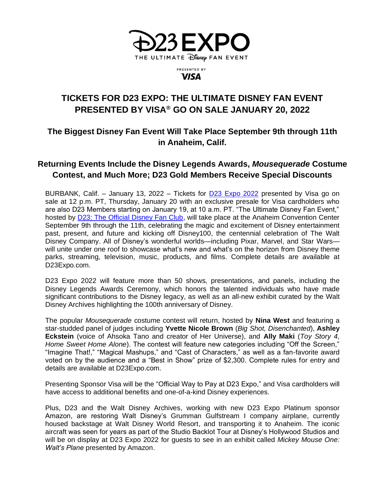

PRESENTED BY **VISA** 

# **TICKETS FOR D23 EXPO: THE ULTIMATE DISNEY FAN EVENT PRESENTED BY VISA® GO ON SALE JANUARY 20, 2022**

## **The Biggest Disney Fan Event Will Take Place September 9th through 11th in Anaheim, Calif.**

## **Returning Events Include the Disney Legends Awards,** *Mousequerade* **Costume Contest, and Much More; D23 Gold Members Receive Special Discounts**

BURBANK, Calif. – January 13, 2022 – Tickets for [D23 Expo 2022](http://d23expo.com/) presented by Visa go on sale at 12 p.m. PT, Thursday, January 20 with an exclusive presale for Visa cardholders who are also D23 Members starting on January 19, at 10 a.m. PT. "The Ultimate Disney Fan Event," hosted by **D23: The Official Disney Fan Club**, will take place at the Anaheim Convention Center September 9th through the 11th, celebrating the magic and excitement of Disney entertainment past, present, and future and kicking off Disney100, the centennial celebration of The Walt Disney Company. All of Disney's wonderful worlds—including Pixar, Marvel, and Star Wars will unite under one roof to showcase what's new and what's on the horizon from Disney theme parks, streaming, television, music, products, and films. Complete details are available at D23Expo.com.

D23 Expo 2022 will feature more than 50 shows, presentations, and panels, including the Disney Legends Awards Ceremony, which honors the talented individuals who have made significant contributions to the Disney legacy, as well as an all-new exhibit curated by the Walt Disney Archives highlighting the 100th anniversary of Disney.

The popular *Mousequerade* costume contest will return, hosted by **Nina West** and featuring a star-studded panel of judges including **Yvette Nicole Brown** (*Big Shot, Disenchanted*), **Ashley Eckstein** (voice of Ahsoka Tano and creator of Her Universe), and **Ally Maki** (*Toy Story 4, Home Sweet Home Alone*). The contest will feature new categories including "Off the Screen," "Imagine That!," "Magical Mashups," and "Cast of Characters," as well as a fan-favorite award voted on by the audience and a "Best in Show" prize of \$2,300. Complete rules for entry and details are available at D23Expo.com.

Presenting Sponsor Visa will be the "Official Way to Pay at D23 Expo," and Visa cardholders will have access to additional benefits and one-of-a-kind Disney experiences.

Plus, D23 and the Walt Disney Archives, working with new D23 Expo Platinum sponsor Amazon, are restoring Walt Disney's Grumman Gulfstream I company airplane, currently housed backstage at Walt Disney World Resort, and transporting it to Anaheim. The iconic aircraft was seen for years as part of the Studio Backlot Tour at Disney's Hollywood Studios and will be on display at D23 Expo 2022 for guests to see in an exhibit called *Mickey Mouse One: Walt's Plane* presented by Amazon.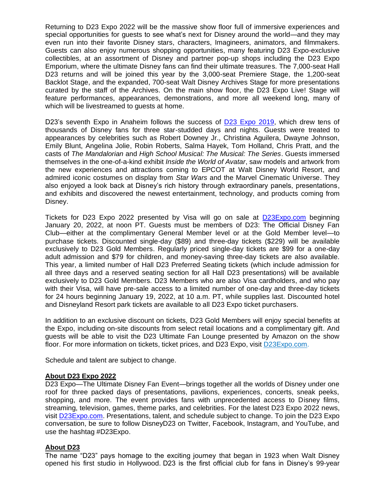Returning to D23 Expo 2022 will be the massive show floor full of immersive experiences and special opportunities for guests to see what's next for Disney around the world—and they may even run into their favorite Disney stars, characters, Imagineers, animators, and filmmakers. Guests can also enjoy numerous shopping opportunities, many featuring D23 Expo-exclusive collectibles, at an assortment of Disney and partner pop-up shops including the D23 Expo Emporium, where the ultimate Disney fans can find their ultimate treasures. The 7,000-seat Hall D23 returns and will be joined this year by the 3,000-seat Premiere Stage, the 1,200-seat Backlot Stage, and the expanded, 700-seat Walt Disney Archives Stage for more presentations curated by the staff of the Archives. On the main show floor, the D23 Expo Live! Stage will feature performances, appearances, demonstrations, and more all weekend long, many of which will be livestreamed to guests at home.

D23's seventh Expo in Anaheim follows the success of [D23 Expo](https://d23.com/keep-up-with-all-the-magic-of-d23-expo-2019/) 2019, which drew tens of thousands of Disney fans for three star-studded days and nights. Guests were treated to appearances by celebrities such as Robert Downey Jr., Christina Aguilera, Dwayne Johnson, Emily Blunt, Angelina Jolie, Robin Roberts, Salma Hayek, Tom Holland, Chris Pratt, and the casts of *The Mandalorian* and *High School Musical: The Musical: The Series*. Guests immersed themselves in the one-of-a-kind exhibit *Inside the World of Avatar*, saw models and artwork from the new experiences and attractions coming to EPCOT at Walt Disney World Resort, and admired iconic costumes on display from *Star Wars* and the Marvel Cinematic Universe. They also enjoyed a look back at Disney's rich history through extraordinary panels, presentations, and exhibits and discovered the newest entertainment, technology, and products coming from Disney.

Tickets for D23 Expo 2022 presented by Visa will go on sale at [D23Expo.com](http://d23expo.com/) beginning January 20, 2022, at noon PT. Guests must be members of D23: The Official Disney Fan Club—either at the complimentary General Member level or at the Gold Member level—to purchase tickets. Discounted single-day (\$89) and three-day tickets (\$229) will be available exclusively to D23 Gold Members. Regularly priced single-day tickets are \$99 for a one-day adult admission and \$79 for children, and money-saving three-day tickets are also available. This year, a limited number of Hall D23 Preferred Seating tickets (which include admission for all three days and a reserved seating section for all Hall D23 presentations) will be available exclusively to D23 Gold Members. D23 Members who are also Visa cardholders, and who pay with their Visa, will have pre-sale access to a limited number of one-day and three-day tickets for 24 hours beginning January 19, 2022, at 10 a.m. PT, while supplies last. Discounted hotel and Disneyland Resort park tickets are available to all D23 Expo ticket purchasers.

In addition to an exclusive discount on tickets, D23 Gold Members will enjoy special benefits at the Expo, including on-site discounts from select retail locations and a complimentary gift. And guests will be able to visit the D23 Ultimate Fan Lounge presented by Amazon on the show floor. For more information on tickets, ticket prices, and D23 Expo, visit [D23Expo.com.](http://www.d23expo.com/)

Schedule and talent are subject to change.

#### **About D23 Expo 2022**

D23 Expo—The Ultimate Disney Fan Event—brings together all the worlds of Disney under one roof for three packed days of presentations, pavilions, experiences, concerts, sneak peeks, shopping, and more. The event provides fans with unprecedented access to Disney films, streaming, television, games, theme parks, and celebrities. For the latest D23 Expo 2022 news, visit [D23Expo.com.](http://d23expo.com/) Presentations, talent, and schedule subject to change. To join the D23 Expo conversation, be sure to follow DisneyD23 on Twitter, Facebook, Instagram, and YouTube, and use the hashtag #D23Expo.

### **About D23**

The name "D23" pays homage to the exciting journey that began in 1923 when Walt Disney opened his first studio in Hollywood. D23 is the first official club for fans in Disney's 99-year